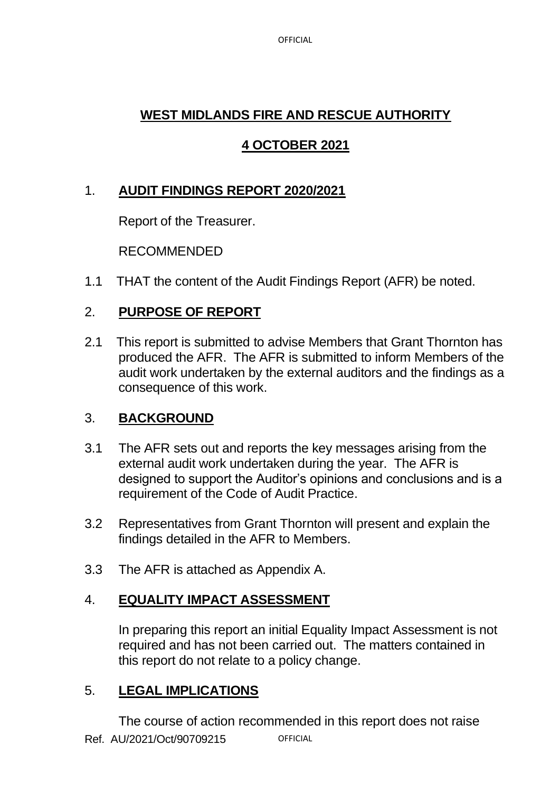**OFFICIAL** 

# **WEST MIDLANDS FIRE AND RESCUE AUTHORITY**

# **4 OCTOBER 2021**

# 1. **AUDIT FINDINGS REPORT 2020/2021**

Report of the Treasurer.

RECOMMENDED

1.1 THAT the content of the Audit Findings Report (AFR) be noted.

## 2. **PURPOSE OF REPORT**

2.1 This report is submitted to advise Members that Grant Thornton has produced the AFR. The AFR is submitted to inform Members of the audit work undertaken by the external auditors and the findings as a consequence of this work.

## 3. **BACKGROUND**

- 3.1 The AFR sets out and reports the key messages arising from the external audit work undertaken during the year. The AFR is designed to support the Auditor's opinions and conclusions and is a requirement of the Code of Audit Practice.
- 3.2 Representatives from Grant Thornton will present and explain the findings detailed in the AFR to Members.
- 3.3 The AFR is attached as Appendix A.

## 4. **EQUALITY IMPACT ASSESSMENT**

In preparing this report an initial Equality Impact Assessment is not required and has not been carried out. The matters contained in this report do not relate to a policy change.

#### 5. **LEGAL IMPLICATIONS**

Ref. AU/2021/Oct/90709215 **OFFICIAL** The course of action recommended in this report does not raise